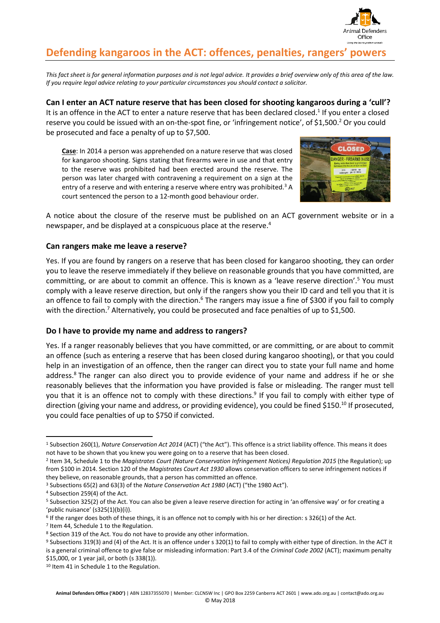

# **Defending kangaroos in the ACT: offences, penalties, rangers' powers**

This fact sheet is for general information purposes and is not legal advice. It provides a brief overview only of this area of the law. *If you require legal advice relating to your particular circumstances you should contact a solicitor.*

**Can I enter an ACT nature reserve that has been closed for shooting kangaroos during a 'cull'?** It is an offence in the ACT to enter a nature reserve that has been declared closed.<sup>1</sup> If you enter a closed reserve you could be issued with an on-the-spot fine, or 'infringement notice', of \$1,500.<sup>2</sup> Or you could be prosecuted and face a penalty of up to \$7,500.

**Case**: In 2014 a person was apprehended on a nature reserve that was closed for kangaroo shooting. Signs stating that firearms were in use and that entry to the reserve was prohibited had been erected around the reserve. The person was later charged with contravening a requirement on a sign at the entry of a reserve and with entering a reserve where entry was prohibited.<sup>3</sup> A court sentenced the person to a 12-month good behaviour order.



A notice about the closure of the reserve must be published on an ACT government website or in a newspaper, and be displayed at a conspicuous place at the reserve. 4

# **Can rangers make me leave a reserve?**

Yes. If you are found by rangers on a reserve that has been closed for kangaroo shooting, they can order you to leave the reserve immediately if they believe on reasonable grounds that you have committed, are committing, or are about to commit an offence. This is known as a 'leave reserve direction'.<sup>5</sup> You must comply with a leave reserve direction, but only if the rangers show you their ID card and tell you that it is an offence to fail to comply with the direction.<sup>6</sup> The rangers may issue a fine of \$300 if you fail to comply with the direction.<sup>7</sup> Alternatively, you could be prosecuted and face penalties of up to \$1,500.

# **Do I have to provide my name and address to rangers?**

Yes. If a ranger reasonably believes that you have committed, or are committing, or are about to commit an offence (such as entering a reserve that has been closed during kangaroo shooting), or that you could help in an investigation of an offence, then the ranger can direct you to state your full name and home address.<sup>8</sup> The ranger can also direct you to provide evidence of your name and address if he or she reasonably believes that the information you have provided is false or misleading. The ranger must tell you that it is an offence not to comply with these directions.<sup>9</sup> If you fail to comply with either type of direction (giving your name and address, or providing evidence), you could be fined \$150.<sup>10</sup> If prosecuted, you could face penalties of up to \$750 if convicted.

l

<sup>1</sup> Subsection 260(1), *Nature Conservation Act 2014* (ACT) ("the Act"). This offence is a strict liability offence. This means it does not have to be shown that you knew you were going on to a reserve that has been closed.

<sup>2</sup> Item 34, Schedule 1 to the *Magistrates Court (Nature Conservation Infringement Notices) Regulation 2015* (the Regulation); up from \$100 in 2014. Section 120 of the *Magistrates Court Act 1930* allows conservation officers to serve infringement notices if they believe, on reasonable grounds, that a person has committed an offence.

<sup>3</sup> Subsections 65(2) and 63(3) of the *Nature Conservation Act 1980* (ACT) ("the 1980 Act").

<sup>4</sup> Subsection 259(4) of the Act.

<sup>5</sup> Subsection 325(2) of the Act. You can also be given a leave reserve direction for acting in 'an offensive way' or for creating a 'public nuisance' (s325(1)(b)(i)).

<sup>6</sup> If the ranger does both of these things, it is an offence not to comply with his or her direction: s 326(1) of the Act.

<sup>7</sup> Item 44, Schedule 1 to the Regulation.

<sup>8</sup> Section 319 of the Act. You do not have to provide any other information.

<sup>9</sup> Subsections 319(3) and (4) of the Act. It is an offence under s 320(1) to fail to comply with either type of direction. In the ACT it is a general criminal offence to give false or misleading information: Part 3.4 of the *Criminal Code 2002* (ACT); maximum penalty \$15,000, or 1 year jail, or both (s 338(1)).

<sup>10</sup> Item 41 in Schedule 1 to the Regulation.